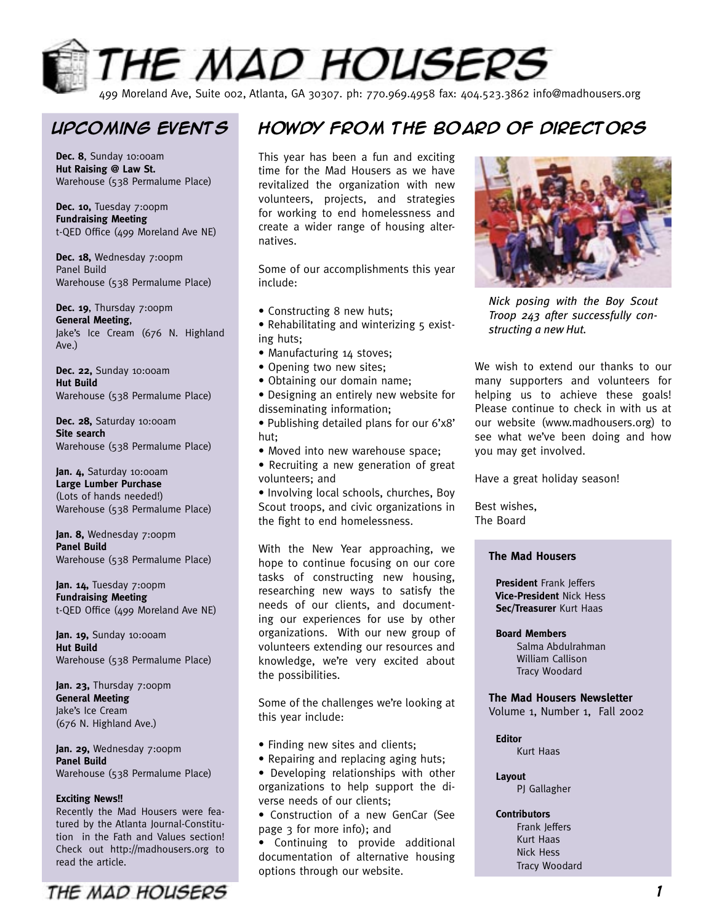

499 Moreland Ave, Suite 002, Atlanta, GA 30307. ph: 770.969.4958 fax: 404.523.3862 info@madhousers.org

**Dec. 8**, Sunday 10:00am **Hut Raising @ Law St.** Warehouse (538 Permalume Place)

**Dec. 10, Tuesday 7:00pm Fundraising Meeting** t-QED Office (499 Moreland Ave NE)

Dec. 18, Wednesday 7:00pm Panel Build Warehouse (538 Permalume Place)

Dec. 19, Thursday 7:00pm **General Meeting**, Jake's Ice Cream (676 N. Highland Ave.)

**Dec. 22,** Sunday 10:00am **Hut Build** Warehouse (538 Permalume Place)

**Dec. 28,** Saturday 10:00am **Site search** Warehouse (538 Permalume Place)

**Jan. 4,** Saturday 10:00am **Large Lumber Purchase** (Lots of hands needed!) Warehouse (538 Permalume Place)

**Jan. 8,** Wednesday 7:00pm **Panel Build** Warehouse (538 Permalume Place)

Jan. 14, Tuesday 7:00pm **Fundraising Meeting** t-QED Office (499 Moreland Ave NE)

**Jan. 19,** Sunday 10:00am **Hut Build** Warehouse (538 Permalume Place)

**Jan. 23,** Thursday 7:00pm **General Meeting** Jake's Ice Cream (676 N. Highland Ave.)

**Jan. 29,** Wednesday 7:00pm **Panel Build** Warehouse (538 Permalume Place)

#### **Exciting News!!**

Recently the Mad Housers were featured by the Atlanta Journal-Constitution in the Fath and Values section! Check out http://madhousers.org to read the article.



# **Upcoming events Howdy from the Board of Directors**

This year has been a fun and exciting time for the Mad Housers as we have revitalized the organization with new volunteers, projects, and strategies for working to end homelessness and create a wider range of housing alternatives.

Some of our accomplishments this year include:

- Constructing 8 new huts;
- Rehabilitating and winterizing 5 existing huts;
- Manufacturing 14 stoves;
- Opening two new sites;
- Obtaining our domain name;
- Designing an entirely new website for disseminating information;
- Publishing detailed plans for our 6'x8' hut;
- Moved into new warehouse space;
- Recruiting a new generation of great volunteers; and

• Involving local schools, churches, Boy Scout troops, and civic organizations in the fight to end homelessness.

With the New Year approaching, we hope to continue focusing on our core tasks of constructing new housing, researching new ways to satisfy the needs of our clients, and documenting our experiences for use by other organizations. With our new group of volunteers extending our resources and knowledge, we're very excited about the possibilities.

Some of the challenges we're looking at this year include:

- Finding new sites and clients;
- Repairing and replacing aging huts;
- Developing relationships with other organizations to help support the diverse needs of our clients;
- Construction of a new GenCar (See page 3 for more info); and
- Continuing to provide additional documentation of alternative housing options through our website.



*Nick posing with the Boy Scout Troop 243 after successfully constructing a new Hut.*

We wish to extend our thanks to our many supporters and volunteers for helping us to achieve these goals! Please continue to check in with us at our website (www.madhousers.org) to see what we've been doing and how you may get involved.

Have a great holiday season!

Best wishes, The Board

### **The Mad Housers**

 **President** Frank Jeffers  **Vice-President** Nick Hess  **Sec/Treasurer** Kurt Haas

#### **Board Members**

Salma Abdulrahman William Callison Tracy Woodard

### **The Mad Housers Newsletter**

Volume 1, Number 1, Fall 2002

#### **Editor**

Kurt Haas

 **Layout**

PJ Gallagher

### **Contributors**

Frank Jeffers Kurt Haas Nick Hess Tracy Woodard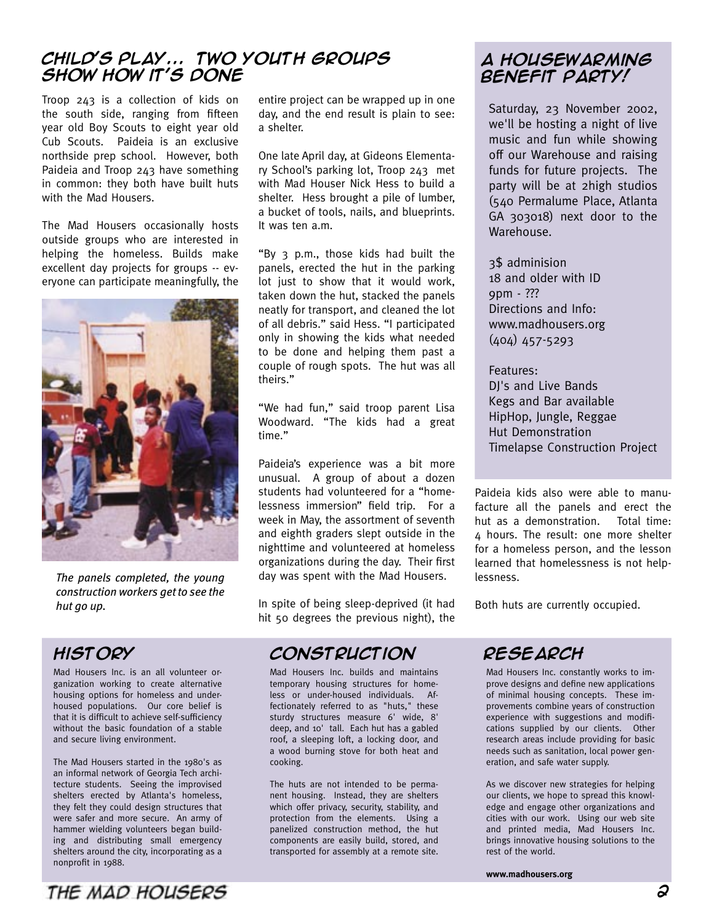### **Child's play... Two youth groups show how it's done**

Troop 243 is a collection of kids on the south side, ranging from fifteen year old Boy Scouts to eight year old Cub Scouts. Paideia is an exclusive northside prep school. However, both Paideia and Troop 243 have something in common: they both have built huts with the Mad Housers.

The Mad Housers occasionally hosts outside groups who are interested in helping the homeless. Builds make excellent day projects for groups -- everyone can participate meaningfully, the



*The panels completed, the young construction workers get to see the hut go up.*

## **History**

Mad Housers Inc. is an all volunteer organization working to create alternative housing options for homeless and underhoused populations. Our core belief is that it is difficult to achieve self-sufficiency without the basic foundation of a stable and secure living environment.

The Mad Housers started in the 1980's as an informal network of Georgia Tech architecture students. Seeing the improvised shelters erected by Atlanta's homeless, they felt they could design structures that were safer and more secure. An army of hammer wielding volunteers began building and distributing small emergency shelters around the city, incorporating as a nonprofit in 1988.

entire project can be wrapped up in one day, and the end result is plain to see: a shelter.

One late April day, at Gideons Elementary School's parking lot, Troop 243 met with Mad Houser Nick Hess to build a shelter. Hess brought a pile of lumber, a bucket of tools, nails, and blueprints. It was ten a.m.

"By 3 p.m., those kids had built the panels, erected the hut in the parking lot just to show that it would work, taken down the hut, stacked the panels neatly for transport, and cleaned the lot of all debris." said Hess. "I participated only in showing the kids what needed to be done and helping them past a couple of rough spots. The hut was all theirs."

"We had fun," said troop parent Lisa Woodward. "The kids had a great time."

Paideia's experience was a bit more unusual. A group of about a dozen students had volunteered for a "homelessness immersion" field trip. For a week in May, the assortment of seventh and eighth graders slept outside in the nighttime and volunteered at homeless organizations during the day. Their first day was spent with the Mad Housers.

In spite of being sleep-deprived (it had hit 50 degrees the previous night), the

## **Construction Research**

Mad Housers Inc. builds and maintains temporary housing structures for homeless or under-housed individuals. Affectionately referred to as "huts," these sturdy structures measure 6' wide, 8' deep, and 10' tall. Each hut has a gabled roof, a sleeping loft, a locking door, and a wood burning stove for both heat and cooking.

The huts are not intended to be permanent housing. Instead, they are shelters which offer privacy, security, stability, and protection from the elements. Using a panelized construction method, the hut components are easily build, stored, and transported for assembly at a remote site.

### **A housewarming Benefit party!**

Saturday, 23 November 2002, we'll be hosting a night of live music and fun while showing off our Warehouse and raising funds for future projects. The party will be at 2high studios (540 Permalume Place, Atlanta GA 303018) next door to the Warehouse.

3\$ adminision 18 and older with ID 9pm - ??? Directions and Info: www.madhousers.org (404) 457-5293

Features: DJ's and Live Bands Kegs and Bar available HipHop, Jungle, Reggae Hut Demonstration Timelapse Construction Project

Paideia kids also were able to manufacture all the panels and erect the hut as a demonstration. Total time: 4 hours. The result: one more shelter for a homeless person, and the lesson learned that homelessness is not helplessness.

Both huts are currently occupied.

Mad Housers Inc. constantly works to improve designs and define new applications of minimal housing concepts. These improvements combine years of construction experience with suggestions and modifications supplied by our clients. Other research areas include providing for basic needs such as sanitation, local power generation, and safe water supply.

As we discover new strategies for helping our clients, we hope to spread this knowledge and engage other organizations and cities with our work. Using our web site and printed media, Mad Housers Inc. brings innovative housing solutions to the rest of the world.

**www.madhousers.org**

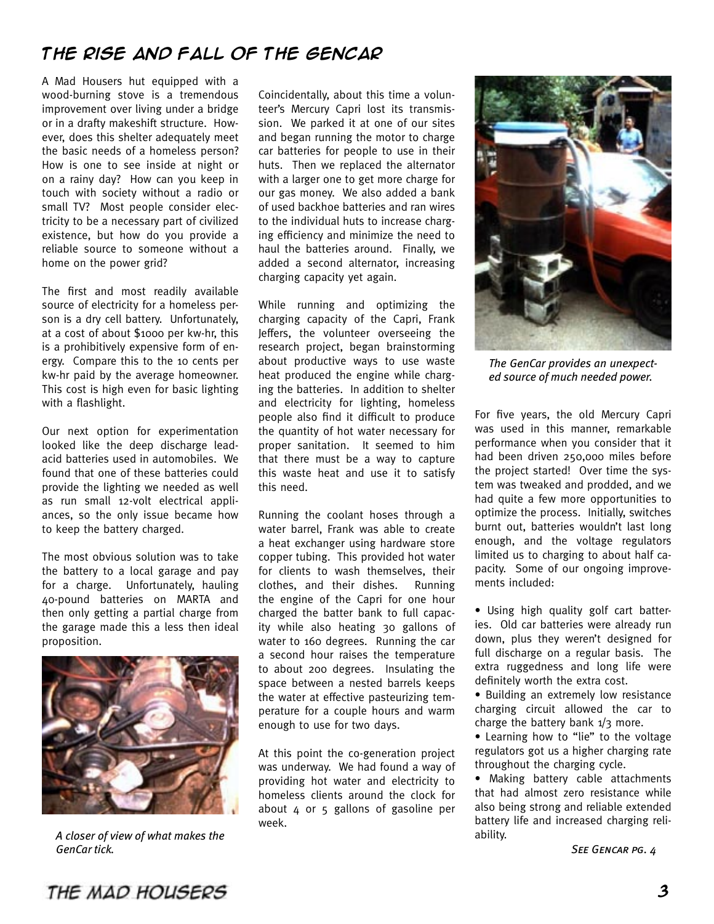# **The rise and fall of the gencar**

A Mad Housers hut equipped with a wood-burning stove is a tremendous improvement over living under a bridge or in a drafty makeshift structure. However, does this shelter adequately meet the basic needs of a homeless person? How is one to see inside at night or on a rainy day? How can you keep in touch with society without a radio or small TV? Most people consider electricity to be a necessary part of civilized existence, but how do you provide a reliable source to someone without a home on the power grid?

The first and most readily available source of electricity for a homeless person is a dry cell battery. Unfortunately, at a cost of about \$1000 per kw-hr, this is a prohibitively expensive form of energy. Compare this to the 10 cents per kw-hr paid by the average homeowner. This cost is high even for basic lighting with a flashlight.

Our next option for experimentation looked like the deep discharge leadacid batteries used in automobiles. We found that one of these batteries could provide the lighting we needed as well as run small 12-volt electrical appliances, so the only issue became how to keep the battery charged.

The most obvious solution was to take the battery to a local garage and pay for a charge. Unfortunately, hauling 40-pound batteries on MARTA and then only getting a partial charge from the garage made this a less then ideal proposition.



*A closer of view of what makes the GenCar tick.*

Coincidentally, about this time a volunteer's Mercury Capri lost its transmission. We parked it at one of our sites and began running the motor to charge car batteries for people to use in their huts. Then we replaced the alternator with a larger one to get more charge for our gas money. We also added a bank of used backhoe batteries and ran wires to the individual huts to increase charging efficiency and minimize the need to haul the batteries around. Finally, we added a second alternator, increasing charging capacity yet again.

While running and optimizing the charging capacity of the Capri, Frank Jeffers, the volunteer overseeing the research project, began brainstorming about productive ways to use waste heat produced the engine while charging the batteries. In addition to shelter and electricity for lighting, homeless people also find it difficult to produce the quantity of hot water necessary for proper sanitation. It seemed to him that there must be a way to capture this waste heat and use it to satisfy this need.

Running the coolant hoses through a water barrel, Frank was able to create a heat exchanger using hardware store copper tubing. This provided hot water for clients to wash themselves, their clothes, and their dishes. Running the engine of the Capri for one hour charged the batter bank to full capacity while also heating 30 gallons of water to 160 degrees. Running the car a second hour raises the temperature to about 200 degrees. Insulating the space between a nested barrels keeps the water at effective pasteurizing temperature for a couple hours and warm enough to use for two days.

At this point the co-generation project was underway. We had found a way of providing hot water and electricity to homeless clients around the clock for about 4 or 5 gallons of gasoline per week.



*The GenCar provides an unexpected source of much needed power.*

For five years, the old Mercury Capri was used in this manner, remarkable performance when you consider that it had been driven 250,000 miles before the project started! Over time the system was tweaked and prodded, and we had quite a few more opportunities to optimize the process. Initially, switches burnt out, batteries wouldn't last long enough, and the voltage regulators limited us to charging to about half capacity. Some of our ongoing improvements included:

• Using high quality golf cart batteries. Old car batteries were already run down, plus they weren't designed for full discharge on a regular basis. The extra ruggedness and long life were definitely worth the extra cost.

• Building an extremely low resistance charging circuit allowed the car to charge the battery bank  $1/3$  more.

• Learning how to "lie" to the voltage regulators got us a higher charging rate throughout the charging cycle.

• Making battery cable attachments that had almost zero resistance while also being strong and reliable extended battery life and increased charging reliability.

*See Gencar pg. 4*